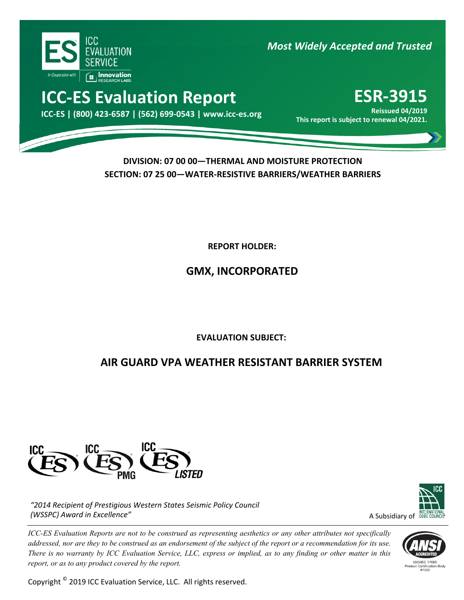

*Most Widely Accepted and Trusted*

# **ICC‐ES Evaluation Report ESR‐3915**

elssued 04/2019 Keissued 04/2019<br>.2021/10 This report is subject to renewal 04/2021

**Reissued 04/2019**

### **DIVISION: 07 00 00—THERMAL AND MOISTURE PROTECTION SECTION: 07 25 00—WATER‐RESISTIVE BARRIERS/WEATHER BARRIERS**

**REPORT HOLDER:** 

## **GMX, INCORPORATED**

ľ **EVALUATION SUBJECT:**

## **AIR GUARD VPA WEATHER RESISTANT BARRIER SYSTEM**



*"2014 Recipient of Prestigious Western States Seismic Policy Council (WSSPC) Award in Excellence"*

*ICC-ES Evaluation Reports are not to be construed as representing aesthetics or any other attributes not specifically addressed, nor are they to be construed as an endorsement of the subject of the report or a recommendation for its use. There is no warranty by ICC Evaluation Service, LLC, express or implied, as to any finding or other matter in this report, or as to any product covered by the report.*

Copyright © 2019 ICC Evaluation Service, LLC. All rights reserved.



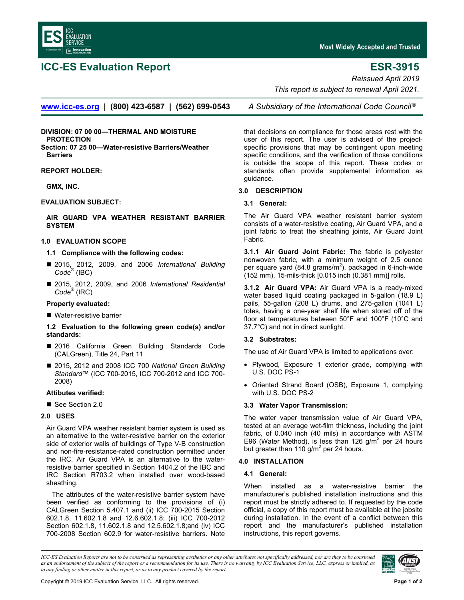

### **ICC-ES Evaluation Report ESR-3915**

*Reissued April 2019* 

 *This report is subject to renewal April 2021.* 

**[www.icc-es.org](http://www.icc-es.org/) | (800) 423-6587 | (562) 699-0543** *A Subsidiary of the International Code Council* ®

**DIVISION: 07 00 00—THERMAL AND MOISTURE PROTECTION Section: 07 25 00—Water-resistive Barriers/Weather Barriers** 

**REPORT HOLDER:** 

**GMX, INC.** 

#### **EVALUATION SUBJECT:**

**[AIR GUARD VPA WEATH](http://www.gmxwaterproofing.com/)ER RESISTANT BARRIER [SYSTEM](mailto:Info@gmxwaterproofing.com)** 

#### **1.0 EVALUATION SCOPE**

#### **1.1 Compliance with the following codes:**

- 2015, 2012, 2009, and 2006 *International Building Code*® (IBC)
- 2015, 2012, 2009, and 2006 *International Residential Code*® (IRC)

#### **Property evaluated:**

■ Water-resistive barrier

#### **1.2 Evaluation to the following green code(s) and/or standards:**

- 2016 California Green Building Standards Code (CALGreen), Title 24, Part 11
- 2015, 2012 and 2008 ICC 700 *National Green Building Standard*™ (ICC 700-2015, ICC 700-2012 and ICC 700- 2008)

#### **Attibutes verified:**

See Section 2.0

### **2.0 USES**

Air Guard VPA weather resistant barrier system is used as an alternative to the water-resistive barrier on the exterior side of exterior walls of buildings of Type V-B construction and non-fire-resistance-rated construction permitted under the IRC. Air Guard VPA is an alternative to the waterresistive barrier specified in Section 1404.2 of the IBC and IRC Section R703.2 when installed over wood-based sheathing.

The attributes of the water-resistive barrier system have been verified as conforming to the provisions of (i) CALGreen Section 5.407.1 and (ii) ICC 700-2015 Section 602.1.8, 11.602.1.8 and 12.6.602.1.8; (iii) ICC 700-2012 Section 602.1.8, 11.602.1.8 and 12.5.602.1.8;and (iv) ICC 700-2008 Section 602.9 for water-resistive barriers. Note that decisions on compliance for those areas rest with the

user of this report. The user is advised of the projectspecific provisions that may be contingent upon meeting specific conditions, and the verification of those conditions is outside the scope of this report. These codes or standards often provide supplemental information as guidance.

#### **3.0 DESCRIPTION**

#### **3.1 General:**

The Air Guard VPA weather resistant barrier system consists of a water-resistive coating, Air Guard VPA, and a joint fabric to treat the sheathing joints, Air Guard Joint Fabric.

**3.1.1 Air Guard Joint Fabric:** The fabric is polyester nonwoven fabric, with a minimum weight of 2.5 ounce per square yard (84.8 grams/m<sup>2</sup>), packaged in 6-inch-wide (152 mm), 15-mils-thick [0.015 inch (0.381 mm)] rolls.

**3.1.2 Air Guard VPA:** Air Guard VPA is a ready-mixed water based liquid coating packaged in 5-gallon (18.9 L) pails, 55-gallon (208 L) drums, and 275-gallon (1041 L) totes, having a one-year shelf life when stored off of the floor at temperatures between 50°F and 100°F (10°C and 37.7°C) and not in direct sunlight.

### **3.2 Substrates:**

The use of Air Guard VPA is limited to applications over:

- Plywood, Exposure 1 exterior grade, complying with U.S. DOC PS-1
- Oriented Strand Board (OSB), Exposure 1, complying with U.S. DOC PS-2

### **3.3 Water Vapor Transmission:**

The water vaper transmission value of Air Guard VPA, tested at an average wet-film thickness, including the joint fabric, of 0.040 inch (40 mils) in accordance with ASTM E96 (Water Method), is less than 126 g/m<sup>2</sup> per 24 hours but greater than 110  $g/m^2$  per 24 hours.

### **4.0 INSTALLATION**

#### **4.1 General:**

When installed as a water-resistive barrier the manufacturer's published installation instructions and this report must be strictly adhered to. If requested by the code official, a copy of this report must be available at the jobsite during installation. In the event of a conflict between this report and the manufacturer's published installation instructions, this report governs.

*ICC-ES Evaluation Reports are not to be construed as representing aesthetics or any other attributes not specifically addressed, nor are they to be construed as an endorsement of the subject of the report or a recommendation for its use. There is no warranty by ICC Evaluation Service, LLC, express or implied, as to any finding or other matter in this report, or as to any product covered by the report.*